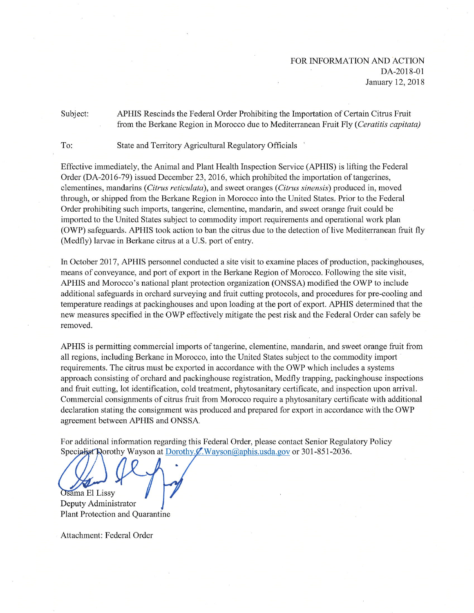## Subject: APHIS Rescinds the Federal Order Prohibiting the Importation of Certain Citrus Fruit from the Berkane Region in Morocco due to Mediterranean Fruit Fly (Ceratitis capitata)

To: State and Territory Agricultural Regulatory Officials

Effective immediately, the Animal and Plant Health Inspection Service (APHIS) is lifting the Federal Order (DA-2016-79) issued December 23, 2016, which prohibited the importation of tangerines, clementines, mandarins (*Citrus reticulata*), and sweet oranges (*Citrus sinensis*) produced in, moved through, or shipped from the Berkane Region in Morocco into the United States. Prior to the Federal Order prohibiting such imports, tangerine, clementine, mandarin, and sweet orange fruit could be imported to the United States subject to commodity import requirements and operational work plan (OWP) safeguards. APHIS took action to ban the citrus due to the detection of live Mediterranean fruit fly (Medfly) larvae in Berkane citrus at a U.S. port of entry.

In October 2017, APHIS personnel conducted a site visit to examine places of production, packinghouses, means of conveyance, and port of export in the Berkane Region of Morocco. Following the site visit, APHIS and Morocco's national plant protection organization (ONSSA) modified the OWP to include additional safeguards in orchard surveying and fruit cutting protocols, and procedures for pre-cooling and temperature readings at packinghouses and upon loading at the port of export. APHIS determined that the new measures specified in the OWP effectively mitigate the pest risk and the Federal Order can safely be removed.

APHIS is permitting commercial imports of tangerine, clementine, mandarin, and sweet orange fruit from all regions, including Berkane in Morocco, into the United States subject to the commodity import requirements. The citrus must be exported in accordance with the OWP which includes a systems approach consisting of orchard and packinghouse registration, Medfly trapping, packinghouse inspections and fruit cutting, lot identification, cold treatment, phytosanitary certificate, and inspection upon arrival. Commercial consignments of citrus fruit from Morocco require a phytosanitary certificate with additional declaration stating the consignment was produced and prepared for export in accordance with the OWP agreement between APHIS and ONSSA.

For additional information regarding this Federal Order, please contact Senior Regulatory Policy Specialist Dorothy Wayson at Dorothy  $\mathcal{L}$ . Wayson @aphis.usda.gov or 301-851-2036.

Osama El Lissy Deputy Administrator Plant Protection and Quarantine

Attachment: Federal Order